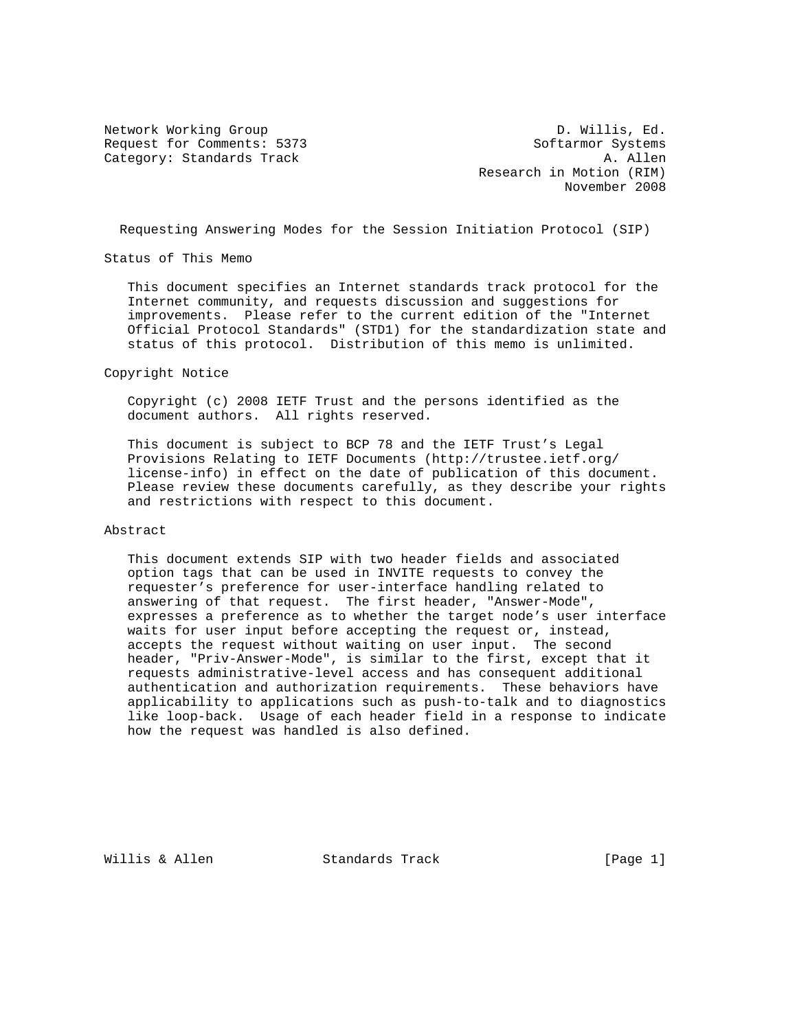Request for Comments: 5373 Category: Standards Track A. Allen

Network Working Group and D. Willis, Ed.<br>Request for Comments: 5373 Softarmor Systems Research in Motion (RIM) November 2008

Requesting Answering Modes for the Session Initiation Protocol (SIP)

Status of This Memo

 This document specifies an Internet standards track protocol for the Internet community, and requests discussion and suggestions for improvements. Please refer to the current edition of the "Internet Official Protocol Standards" (STD1) for the standardization state and status of this protocol. Distribution of this memo is unlimited.

Copyright Notice

 Copyright (c) 2008 IETF Trust and the persons identified as the document authors. All rights reserved.

 This document is subject to BCP 78 and the IETF Trust's Legal Provisions Relating to IETF Documents (http://trustee.ietf.org/ license-info) in effect on the date of publication of this document. Please review these documents carefully, as they describe your rights and restrictions with respect to this document.

# Abstract

 This document extends SIP with two header fields and associated option tags that can be used in INVITE requests to convey the requester's preference for user-interface handling related to answering of that request. The first header, "Answer-Mode", expresses a preference as to whether the target node's user interface waits for user input before accepting the request or, instead, accepts the request without waiting on user input. The second header, "Priv-Answer-Mode", is similar to the first, except that it requests administrative-level access and has consequent additional authentication and authorization requirements. These behaviors have applicability to applications such as push-to-talk and to diagnostics like loop-back. Usage of each header field in a response to indicate how the request was handled is also defined.

Willis & Allen Standards Track [Page 1]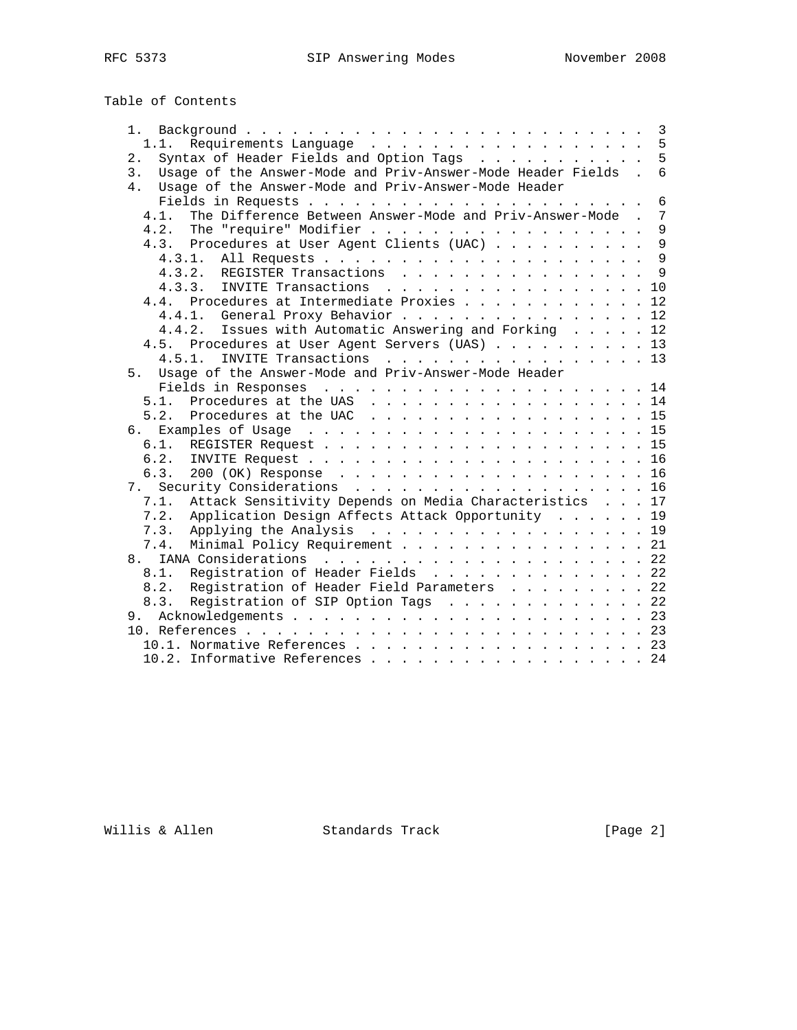| Table of Contents |  |  |  |
|-------------------|--|--|--|
|-------------------|--|--|--|

| 1 <sup>1</sup>                                                         | $\overline{\mathbf{3}}$ |
|------------------------------------------------------------------------|-------------------------|
|                                                                        | 5                       |
| Syntax of Header Fields and Option Tags<br>$2$ .                       | 5                       |
| Usage of the Answer-Mode and Priv-Answer-Mode Header Fields.<br>3.     | 6                       |
| Usage of the Answer-Mode and Priv-Answer-Mode Header<br>4 <sub>1</sub> |                         |
|                                                                        | $6\overline{6}$         |
| The Difference Between Answer-Mode and Priv-Answer-Mode.<br>4.1.       | $7\phantom{.0}$         |
|                                                                        | 9                       |
| 4.3. Procedures at User Agent Clients (UAC)                            | 9                       |
|                                                                        |                         |
| 4.3.2. REGISTER Transactions 9                                         |                         |
| 4.3.3. INVITE Transactions 10                                          |                         |
| 4.4. Procedures at Intermediate Proxies 12                             |                         |
| 4.4.1. General Proxy Behavior 12                                       |                         |
| 4.4.2. Issues with Automatic Answering and Forking 12                  |                         |
| 4.5. Procedures at User Agent Servers (UAS) 13                         |                         |
| INVITE Transactions 13<br>4.5.1.                                       |                         |
| Usaqe of the Answer-Mode and Priv-Answer-Mode Header<br>5.             |                         |
|                                                                        |                         |
| 5.1. Procedures at the UAS 14                                          |                         |
| 5.2. Procedures at the UAC 15                                          |                         |
|                                                                        |                         |
|                                                                        |                         |
|                                                                        |                         |
|                                                                        |                         |
| 7. Security Considerations 16                                          |                         |
| Attack Sensitivity Depends on Media Characteristics 17<br>7.1.         |                         |
| Application Design Affects Attack Opportunity 19<br>7.2.               |                         |
| Applying the Analysis 19<br>7.3.                                       |                         |
| Minimal Policy Requirement 21<br>7.4.                                  |                         |
|                                                                        |                         |
| Registration of Header Fields 22<br>8.1.                               |                         |
| Registration of Header Field Parameters 22<br>8.2.                     |                         |
| Registration of SIP Option Tags 22<br>8.3.                             |                         |
|                                                                        |                         |
|                                                                        |                         |
|                                                                        |                         |
| 10.2. Informative References 24                                        |                         |

Willis & Allen Standards Track [Page 2]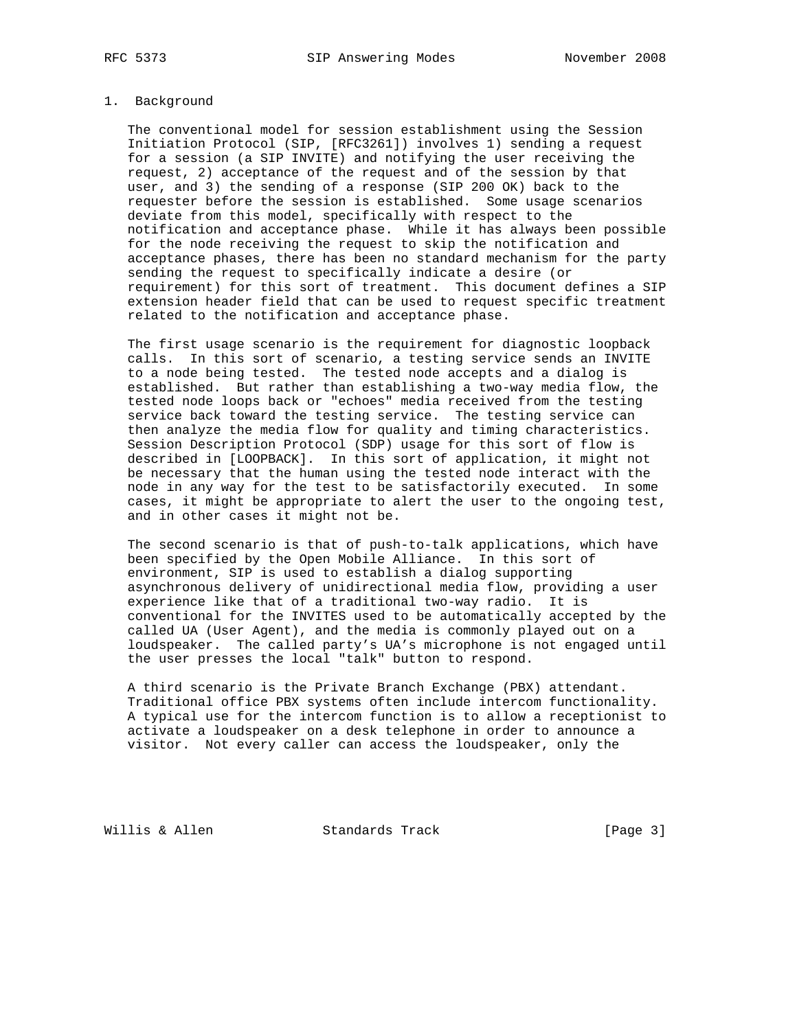# 1. Background

 The conventional model for session establishment using the Session Initiation Protocol (SIP, [RFC3261]) involves 1) sending a request for a session (a SIP INVITE) and notifying the user receiving the request, 2) acceptance of the request and of the session by that user, and 3) the sending of a response (SIP 200 OK) back to the requester before the session is established. Some usage scenarios deviate from this model, specifically with respect to the notification and acceptance phase. While it has always been possible for the node receiving the request to skip the notification and acceptance phases, there has been no standard mechanism for the party sending the request to specifically indicate a desire (or requirement) for this sort of treatment. This document defines a SIP extension header field that can be used to request specific treatment related to the notification and acceptance phase.

 The first usage scenario is the requirement for diagnostic loopback calls. In this sort of scenario, a testing service sends an INVITE to a node being tested. The tested node accepts and a dialog is established. But rather than establishing a two-way media flow, the tested node loops back or "echoes" media received from the testing service back toward the testing service. The testing service can then analyze the media flow for quality and timing characteristics. Session Description Protocol (SDP) usage for this sort of flow is described in [LOOPBACK]. In this sort of application, it might not be necessary that the human using the tested node interact with the node in any way for the test to be satisfactorily executed. In some cases, it might be appropriate to alert the user to the ongoing test, and in other cases it might not be.

 The second scenario is that of push-to-talk applications, which have been specified by the Open Mobile Alliance. In this sort of environment, SIP is used to establish a dialog supporting asynchronous delivery of unidirectional media flow, providing a user experience like that of a traditional two-way radio. It is conventional for the INVITES used to be automatically accepted by the called UA (User Agent), and the media is commonly played out on a loudspeaker. The called party's UA's microphone is not engaged until the user presses the local "talk" button to respond.

 A third scenario is the Private Branch Exchange (PBX) attendant. Traditional office PBX systems often include intercom functionality. A typical use for the intercom function is to allow a receptionist to activate a loudspeaker on a desk telephone in order to announce a visitor. Not every caller can access the loudspeaker, only the

Willis & Allen Standards Track [Page 3]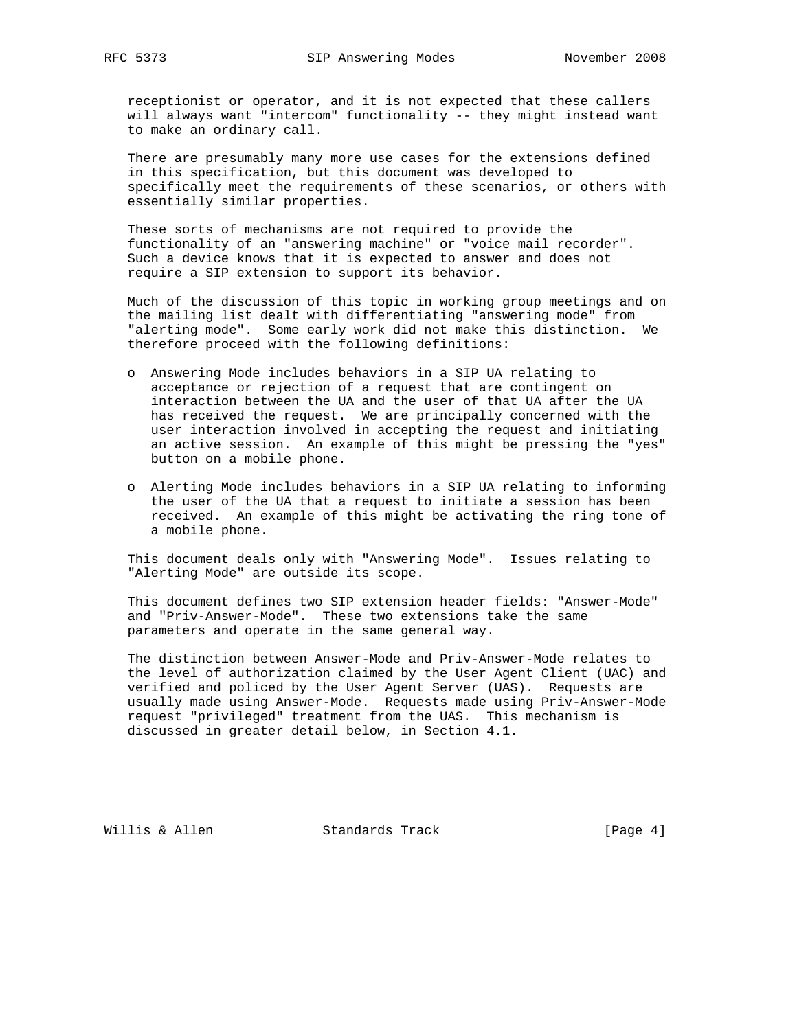receptionist or operator, and it is not expected that these callers will always want "intercom" functionality -- they might instead want to make an ordinary call.

 There are presumably many more use cases for the extensions defined in this specification, but this document was developed to specifically meet the requirements of these scenarios, or others with essentially similar properties.

 These sorts of mechanisms are not required to provide the functionality of an "answering machine" or "voice mail recorder". Such a device knows that it is expected to answer and does not require a SIP extension to support its behavior.

 Much of the discussion of this topic in working group meetings and on the mailing list dealt with differentiating "answering mode" from "alerting mode". Some early work did not make this distinction. We therefore proceed with the following definitions:

- o Answering Mode includes behaviors in a SIP UA relating to acceptance or rejection of a request that are contingent on interaction between the UA and the user of that UA after the UA has received the request. We are principally concerned with the user interaction involved in accepting the request and initiating an active session. An example of this might be pressing the "yes" button on a mobile phone.
- o Alerting Mode includes behaviors in a SIP UA relating to informing the user of the UA that a request to initiate a session has been received. An example of this might be activating the ring tone of a mobile phone.

 This document deals only with "Answering Mode". Issues relating to "Alerting Mode" are outside its scope.

 This document defines two SIP extension header fields: "Answer-Mode" and "Priv-Answer-Mode". These two extensions take the same parameters and operate in the same general way.

 The distinction between Answer-Mode and Priv-Answer-Mode relates to the level of authorization claimed by the User Agent Client (UAC) and verified and policed by the User Agent Server (UAS). Requests are usually made using Answer-Mode. Requests made using Priv-Answer-Mode request "privileged" treatment from the UAS. This mechanism is discussed in greater detail below, in Section 4.1.

Willis & Allen Standards Track [Page 4]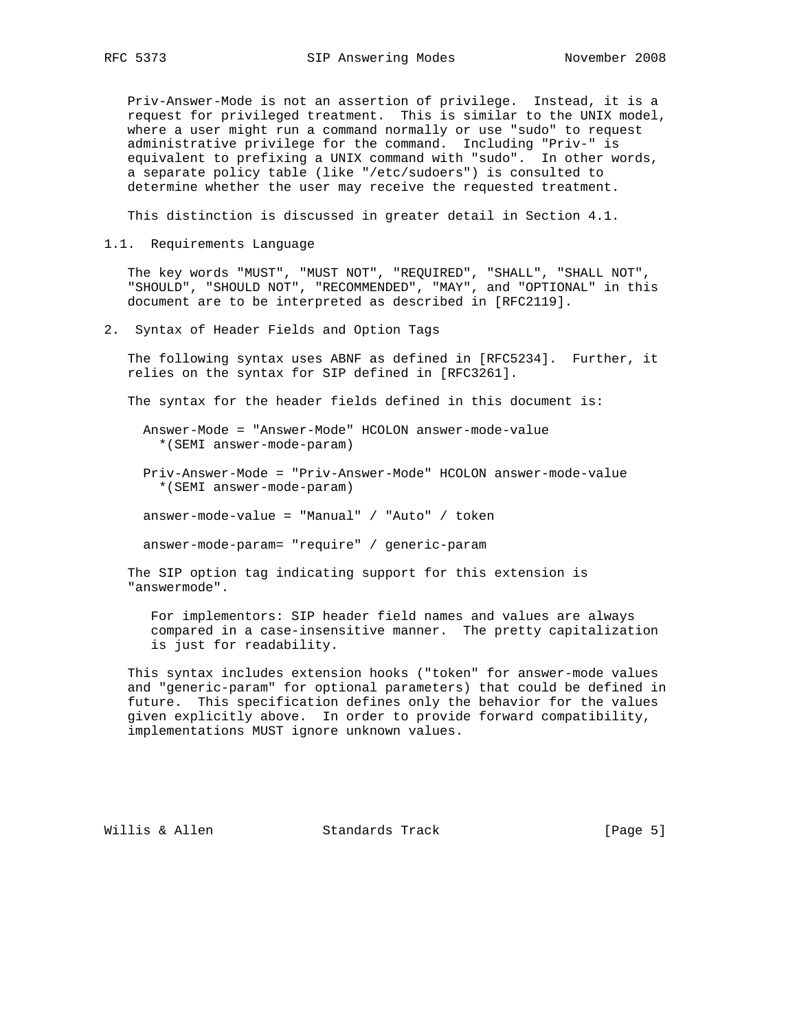Priv-Answer-Mode is not an assertion of privilege. Instead, it is a request for privileged treatment. This is similar to the UNIX model, where a user might run a command normally or use "sudo" to request administrative privilege for the command. Including "Priv-" is equivalent to prefixing a UNIX command with "sudo". In other words, a separate policy table (like "/etc/sudoers") is consulted to determine whether the user may receive the requested treatment.

This distinction is discussed in greater detail in Section 4.1.

1.1. Requirements Language

 The key words "MUST", "MUST NOT", "REQUIRED", "SHALL", "SHALL NOT", "SHOULD", "SHOULD NOT", "RECOMMENDED", "MAY", and "OPTIONAL" in this document are to be interpreted as described in [RFC2119].

2. Syntax of Header Fields and Option Tags

 The following syntax uses ABNF as defined in [RFC5234]. Further, it relies on the syntax for SIP defined in [RFC3261].

The syntax for the header fields defined in this document is:

- Answer-Mode = "Answer-Mode" HCOLON answer-mode-value \*(SEMI answer-mode-param)
- Priv-Answer-Mode = "Priv-Answer-Mode" HCOLON answer-mode-value \*(SEMI answer-mode-param)

answer-mode-value = "Manual" / "Auto" / token

answer-mode-param= "require" / generic-param

 The SIP option tag indicating support for this extension is "answermode".

 For implementors: SIP header field names and values are always compared in a case-insensitive manner. The pretty capitalization is just for readability.

 This syntax includes extension hooks ("token" for answer-mode values and "generic-param" for optional parameters) that could be defined in future. This specification defines only the behavior for the values given explicitly above. In order to provide forward compatibility, implementations MUST ignore unknown values.

Willis & Allen Standards Track [Page 5]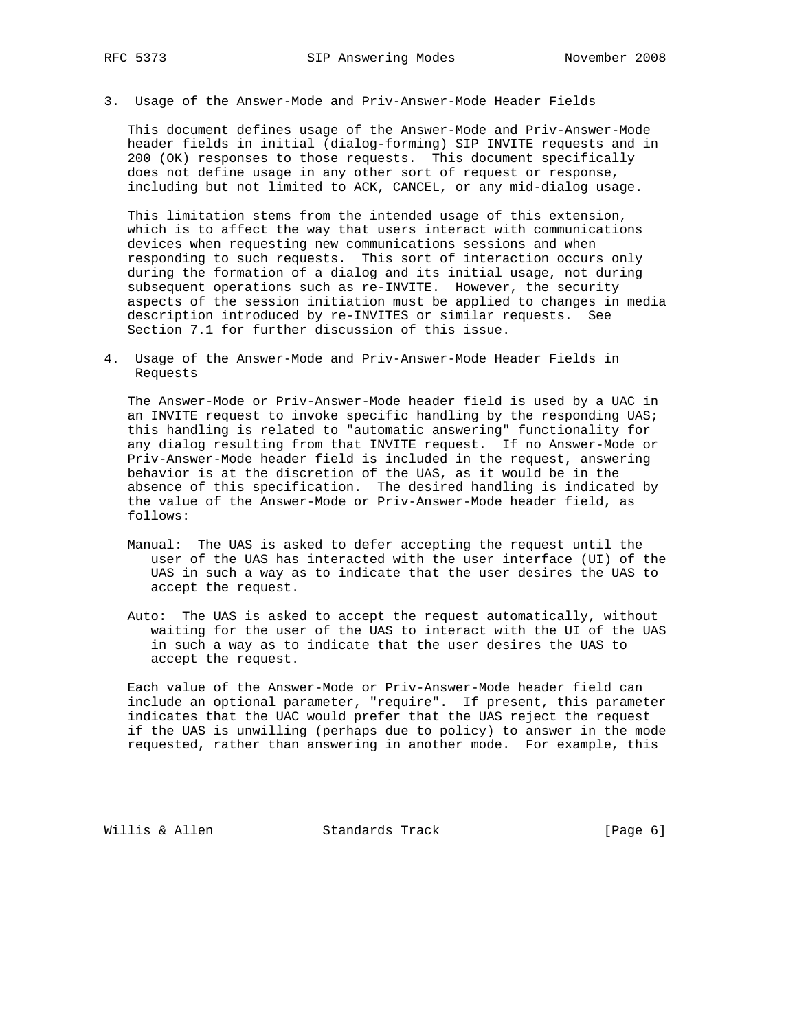3. Usage of the Answer-Mode and Priv-Answer-Mode Header Fields

 This document defines usage of the Answer-Mode and Priv-Answer-Mode header fields in initial (dialog-forming) SIP INVITE requests and in 200 (OK) responses to those requests. This document specifically does not define usage in any other sort of request or response, including but not limited to ACK, CANCEL, or any mid-dialog usage.

 This limitation stems from the intended usage of this extension, which is to affect the way that users interact with communications devices when requesting new communications sessions and when responding to such requests. This sort of interaction occurs only during the formation of a dialog and its initial usage, not during subsequent operations such as re-INVITE. However, the security aspects of the session initiation must be applied to changes in media description introduced by re-INVITES or similar requests. See Section 7.1 for further discussion of this issue.

4. Usage of the Answer-Mode and Priv-Answer-Mode Header Fields in Requests

 The Answer-Mode or Priv-Answer-Mode header field is used by a UAC in an INVITE request to invoke specific handling by the responding UAS; this handling is related to "automatic answering" functionality for any dialog resulting from that INVITE request. If no Answer-Mode or Priv-Answer-Mode header field is included in the request, answering behavior is at the discretion of the UAS, as it would be in the absence of this specification. The desired handling is indicated by the value of the Answer-Mode or Priv-Answer-Mode header field, as follows:

- Manual: The UAS is asked to defer accepting the request until the user of the UAS has interacted with the user interface (UI) of the UAS in such a way as to indicate that the user desires the UAS to accept the request.
- Auto: The UAS is asked to accept the request automatically, without waiting for the user of the UAS to interact with the UI of the UAS in such a way as to indicate that the user desires the UAS to accept the request.

 Each value of the Answer-Mode or Priv-Answer-Mode header field can include an optional parameter, "require". If present, this parameter indicates that the UAC would prefer that the UAS reject the request if the UAS is unwilling (perhaps due to policy) to answer in the mode requested, rather than answering in another mode. For example, this

Willis & Allen Standards Track [Page 6]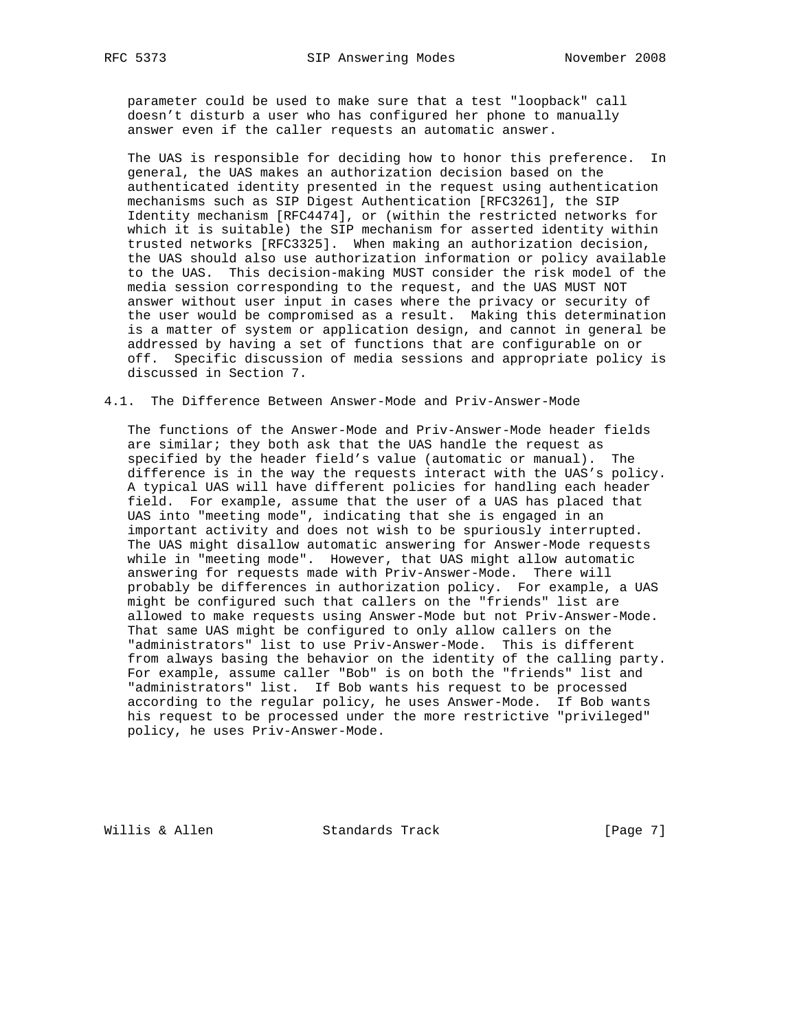parameter could be used to make sure that a test "loopback" call doesn't disturb a user who has configured her phone to manually answer even if the caller requests an automatic answer.

 The UAS is responsible for deciding how to honor this preference. In general, the UAS makes an authorization decision based on the authenticated identity presented in the request using authentication mechanisms such as SIP Digest Authentication [RFC3261], the SIP Identity mechanism [RFC4474], or (within the restricted networks for which it is suitable) the SIP mechanism for asserted identity within trusted networks [RFC3325]. When making an authorization decision, the UAS should also use authorization information or policy available to the UAS. This decision-making MUST consider the risk model of the media session corresponding to the request, and the UAS MUST NOT answer without user input in cases where the privacy or security of the user would be compromised as a result. Making this determination is a matter of system or application design, and cannot in general be addressed by having a set of functions that are configurable on or off. Specific discussion of media sessions and appropriate policy is discussed in Section 7.

# 4.1. The Difference Between Answer-Mode and Priv-Answer-Mode

 The functions of the Answer-Mode and Priv-Answer-Mode header fields are similar; they both ask that the UAS handle the request as specified by the header field's value (automatic or manual). The difference is in the way the requests interact with the UAS's policy. A typical UAS will have different policies for handling each header field. For example, assume that the user of a UAS has placed that UAS into "meeting mode", indicating that she is engaged in an important activity and does not wish to be spuriously interrupted. The UAS might disallow automatic answering for Answer-Mode requests while in "meeting mode". However, that UAS might allow automatic answering for requests made with Priv-Answer-Mode. There will probably be differences in authorization policy. For example, a UAS might be configured such that callers on the "friends" list are allowed to make requests using Answer-Mode but not Priv-Answer-Mode. That same UAS might be configured to only allow callers on the "administrators" list to use Priv-Answer-Mode. This is different from always basing the behavior on the identity of the calling party. For example, assume caller "Bob" is on both the "friends" list and "administrators" list. If Bob wants his request to be processed according to the regular policy, he uses Answer-Mode. If Bob wants his request to be processed under the more restrictive "privileged" policy, he uses Priv-Answer-Mode.

Willis & Allen Standards Track [Page 7]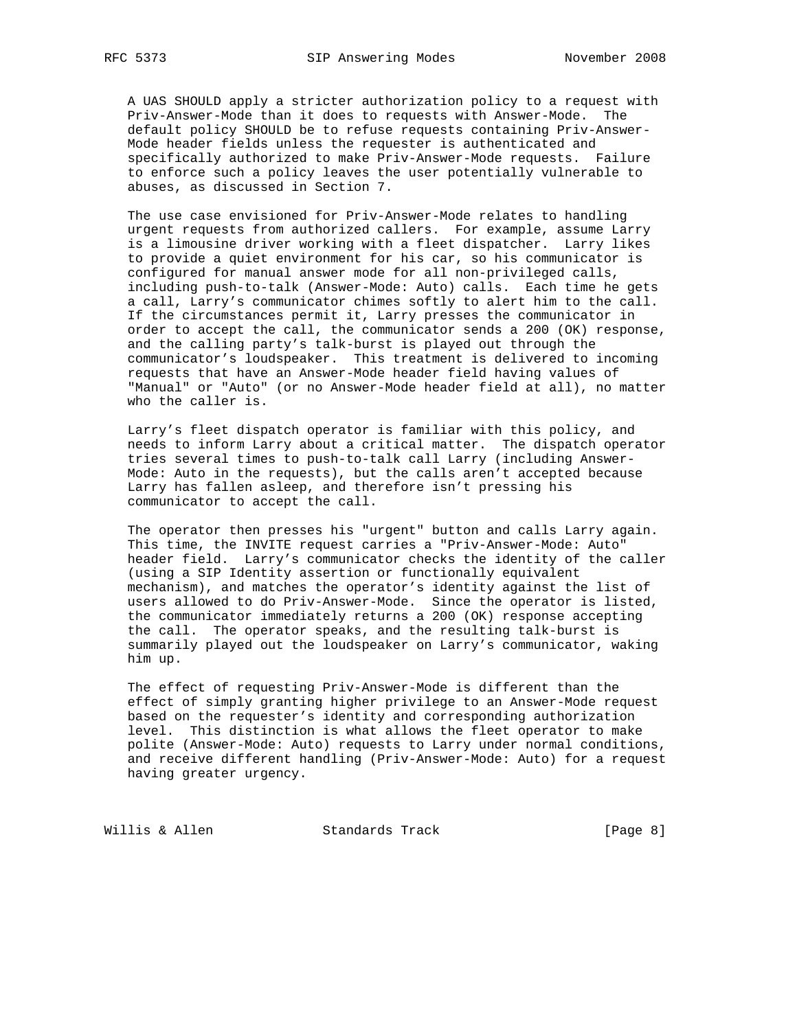A UAS SHOULD apply a stricter authorization policy to a request with Priv-Answer-Mode than it does to requests with Answer-Mode. The default policy SHOULD be to refuse requests containing Priv-Answer- Mode header fields unless the requester is authenticated and specifically authorized to make Priv-Answer-Mode requests. Failure to enforce such a policy leaves the user potentially vulnerable to abuses, as discussed in Section 7.

 The use case envisioned for Priv-Answer-Mode relates to handling urgent requests from authorized callers. For example, assume Larry is a limousine driver working with a fleet dispatcher. Larry likes to provide a quiet environment for his car, so his communicator is configured for manual answer mode for all non-privileged calls, including push-to-talk (Answer-Mode: Auto) calls. Each time he gets a call, Larry's communicator chimes softly to alert him to the call. If the circumstances permit it, Larry presses the communicator in order to accept the call, the communicator sends a 200 (OK) response, and the calling party's talk-burst is played out through the communicator's loudspeaker. This treatment is delivered to incoming requests that have an Answer-Mode header field having values of "Manual" or "Auto" (or no Answer-Mode header field at all), no matter who the caller is.

 Larry's fleet dispatch operator is familiar with this policy, and needs to inform Larry about a critical matter. The dispatch operator tries several times to push-to-talk call Larry (including Answer- Mode: Auto in the requests), but the calls aren't accepted because Larry has fallen asleep, and therefore isn't pressing his communicator to accept the call.

 The operator then presses his "urgent" button and calls Larry again. This time, the INVITE request carries a "Priv-Answer-Mode: Auto" header field. Larry's communicator checks the identity of the caller (using a SIP Identity assertion or functionally equivalent mechanism), and matches the operator's identity against the list of users allowed to do Priv-Answer-Mode. Since the operator is listed, the communicator immediately returns a 200 (OK) response accepting the call. The operator speaks, and the resulting talk-burst is summarily played out the loudspeaker on Larry's communicator, waking him up.

 The effect of requesting Priv-Answer-Mode is different than the effect of simply granting higher privilege to an Answer-Mode request based on the requester's identity and corresponding authorization level. This distinction is what allows the fleet operator to make polite (Answer-Mode: Auto) requests to Larry under normal conditions, and receive different handling (Priv-Answer-Mode: Auto) for a request having greater urgency.

Willis & Allen Standards Track [Page 8]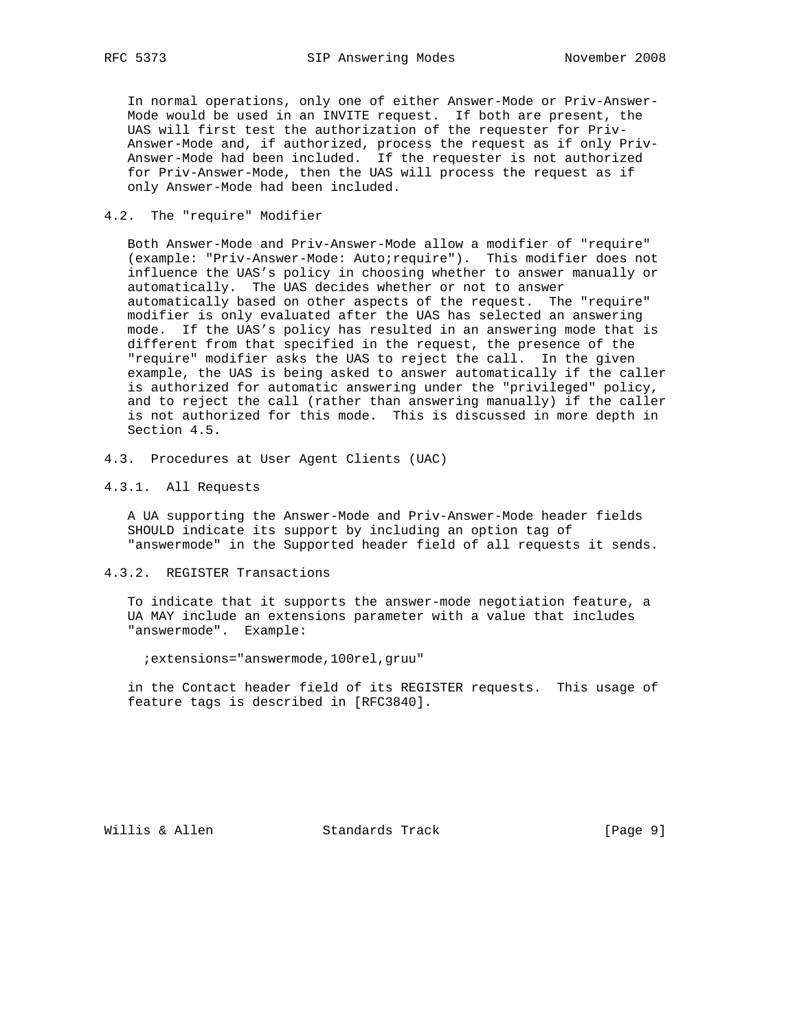In normal operations, only one of either Answer-Mode or Priv-Answer- Mode would be used in an INVITE request. If both are present, the UAS will first test the authorization of the requester for Priv- Answer-Mode and, if authorized, process the request as if only Priv- Answer-Mode had been included. If the requester is not authorized for Priv-Answer-Mode, then the UAS will process the request as if only Answer-Mode had been included.

### 4.2. The "require" Modifier

 Both Answer-Mode and Priv-Answer-Mode allow a modifier of "require" (example: "Priv-Answer-Mode: Auto;require"). This modifier does not influence the UAS's policy in choosing whether to answer manually or automatically. The UAS decides whether or not to answer automatically based on other aspects of the request. The "require" modifier is only evaluated after the UAS has selected an answering mode. If the UAS's policy has resulted in an answering mode that is different from that specified in the request, the presence of the "require" modifier asks the UAS to reject the call. In the given example, the UAS is being asked to answer automatically if the caller is authorized for automatic answering under the "privileged" policy, and to reject the call (rather than answering manually) if the caller is not authorized for this mode. This is discussed in more depth in Section 4.5.

### 4.3. Procedures at User Agent Clients (UAC)

4.3.1. All Requests

 A UA supporting the Answer-Mode and Priv-Answer-Mode header fields SHOULD indicate its support by including an option tag of "answermode" in the Supported header field of all requests it sends.

## 4.3.2. REGISTER Transactions

 To indicate that it supports the answer-mode negotiation feature, a UA MAY include an extensions parameter with a value that includes "answermode". Example:

;extensions="answermode,100rel,gruu"

 in the Contact header field of its REGISTER requests. This usage of feature tags is described in [RFC3840].

Willis & Allen Standards Track [Page 9]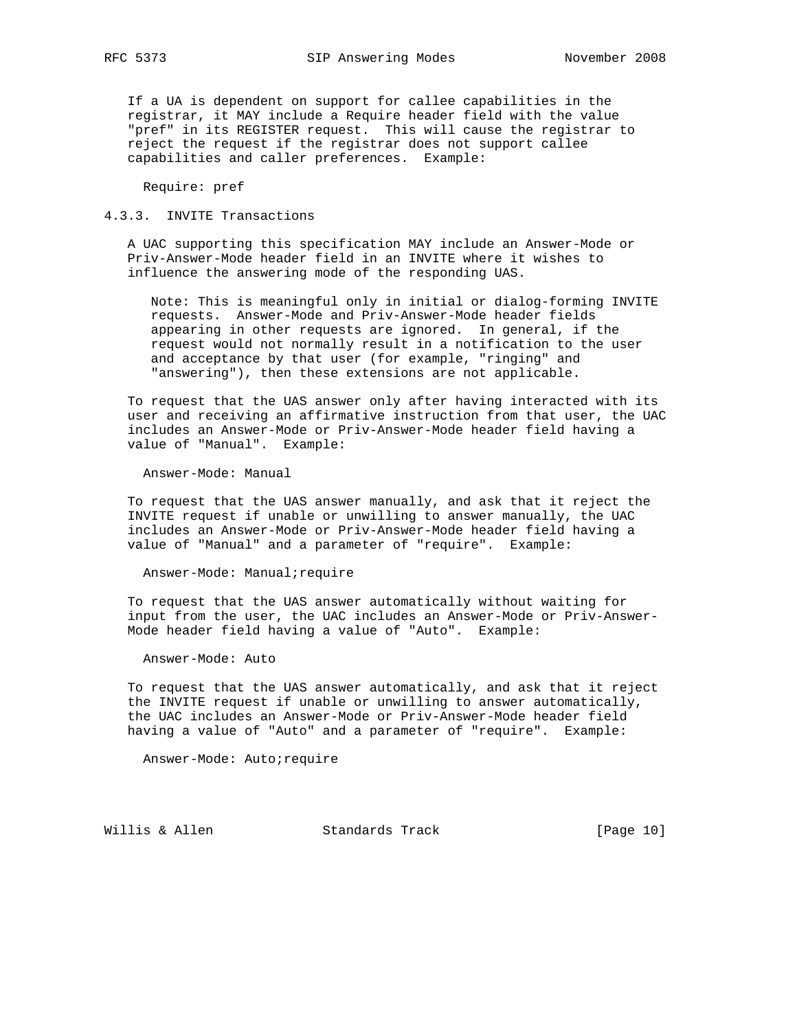If a UA is dependent on support for callee capabilities in the registrar, it MAY include a Require header field with the value "pref" in its REGISTER request. This will cause the registrar to reject the request if the registrar does not support callee capabilities and caller preferences. Example:

Require: pref

# 4.3.3. INVITE Transactions

 A UAC supporting this specification MAY include an Answer-Mode or Priv-Answer-Mode header field in an INVITE where it wishes to influence the answering mode of the responding UAS.

 Note: This is meaningful only in initial or dialog-forming INVITE requests. Answer-Mode and Priv-Answer-Mode header fields appearing in other requests are ignored. In general, if the request would not normally result in a notification to the user and acceptance by that user (for example, "ringing" and "answering"), then these extensions are not applicable.

 To request that the UAS answer only after having interacted with its user and receiving an affirmative instruction from that user, the UAC includes an Answer-Mode or Priv-Answer-Mode header field having a value of "Manual". Example:

Answer-Mode: Manual

 To request that the UAS answer manually, and ask that it reject the INVITE request if unable or unwilling to answer manually, the UAC includes an Answer-Mode or Priv-Answer-Mode header field having a value of "Manual" and a parameter of "require". Example:

Answer-Mode: Manual;require

 To request that the UAS answer automatically without waiting for input from the user, the UAC includes an Answer-Mode or Priv-Answer- Mode header field having a value of "Auto". Example:

Answer-Mode: Auto

 To request that the UAS answer automatically, and ask that it reject the INVITE request if unable or unwilling to answer automatically, the UAC includes an Answer-Mode or Priv-Answer-Mode header field having a value of "Auto" and a parameter of "require". Example:

Answer-Mode: Auto;require

Willis & Allen Standards Track [Page 10]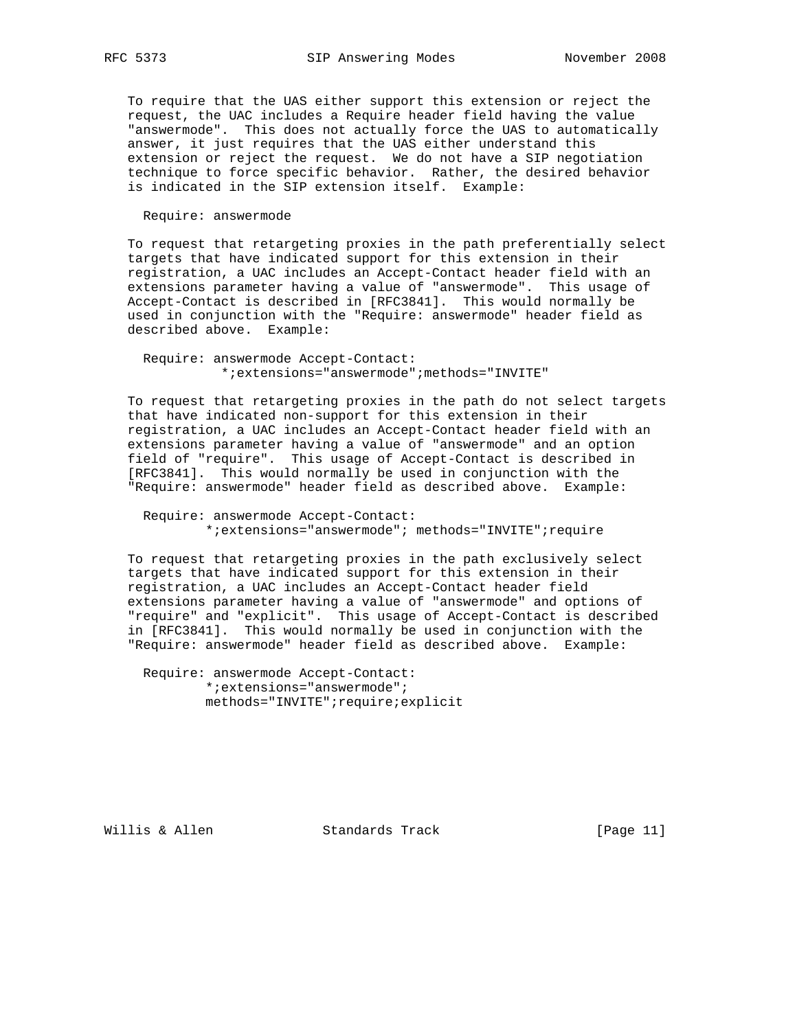To require that the UAS either support this extension or reject the request, the UAC includes a Require header field having the value "answermode". This does not actually force the UAS to automatically answer, it just requires that the UAS either understand this extension or reject the request. We do not have a SIP negotiation technique to force specific behavior. Rather, the desired behavior is indicated in the SIP extension itself. Example:

Require: answermode

 To request that retargeting proxies in the path preferentially select targets that have indicated support for this extension in their registration, a UAC includes an Accept-Contact header field with an extensions parameter having a value of "answermode". This usage of Accept-Contact is described in [RFC3841]. This would normally be used in conjunction with the "Require: answermode" header field as described above. Example:

 Require: answermode Accept-Contact: \*;extensions="answermode";methods="INVITE"

 To request that retargeting proxies in the path do not select targets that have indicated non-support for this extension in their registration, a UAC includes an Accept-Contact header field with an extensions parameter having a value of "answermode" and an option field of "require". This usage of Accept-Contact is described in [RFC3841]. This would normally be used in conjunction with the "Require: answermode" header field as described above. Example:

 Require: answermode Accept-Contact: \*;extensions="answermode"; methods="INVITE";require

 To request that retargeting proxies in the path exclusively select targets that have indicated support for this extension in their registration, a UAC includes an Accept-Contact header field extensions parameter having a value of "answermode" and options of "require" and "explicit". This usage of Accept-Contact is described in [RFC3841]. This would normally be used in conjunction with the "Require: answermode" header field as described above. Example:

 Require: answermode Accept-Contact: \*;extensions="answermode"; methods="INVITE";require;explicit

Willis & Allen Standards Track [Page 11]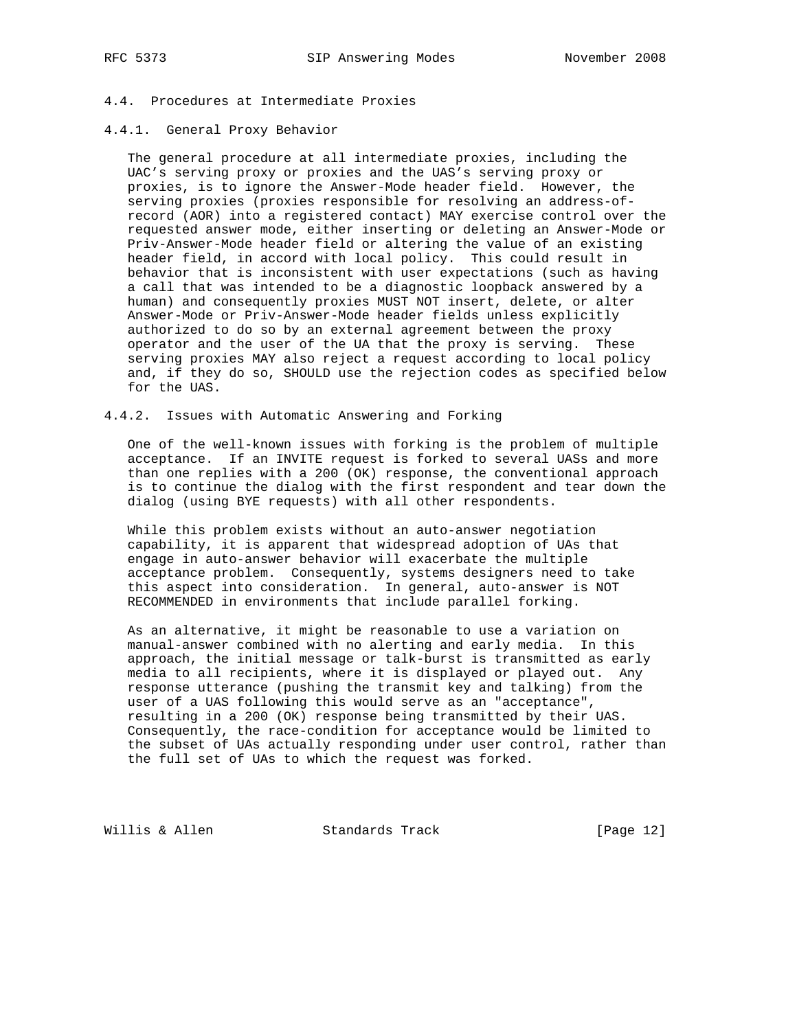# 4.4. Procedures at Intermediate Proxies

### 4.4.1. General Proxy Behavior

 The general procedure at all intermediate proxies, including the UAC's serving proxy or proxies and the UAS's serving proxy or proxies, is to ignore the Answer-Mode header field. However, the serving proxies (proxies responsible for resolving an address-of record (AOR) into a registered contact) MAY exercise control over the requested answer mode, either inserting or deleting an Answer-Mode or Priv-Answer-Mode header field or altering the value of an existing header field, in accord with local policy. This could result in behavior that is inconsistent with user expectations (such as having a call that was intended to be a diagnostic loopback answered by a human) and consequently proxies MUST NOT insert, delete, or alter Answer-Mode or Priv-Answer-Mode header fields unless explicitly authorized to do so by an external agreement between the proxy operator and the user of the UA that the proxy is serving. These serving proxies MAY also reject a request according to local policy and, if they do so, SHOULD use the rejection codes as specified below for the UAS.

#### 4.4.2. Issues with Automatic Answering and Forking

 One of the well-known issues with forking is the problem of multiple acceptance. If an INVITE request is forked to several UASs and more than one replies with a 200 (OK) response, the conventional approach is to continue the dialog with the first respondent and tear down the dialog (using BYE requests) with all other respondents.

 While this problem exists without an auto-answer negotiation capability, it is apparent that widespread adoption of UAs that engage in auto-answer behavior will exacerbate the multiple acceptance problem. Consequently, systems designers need to take this aspect into consideration. In general, auto-answer is NOT RECOMMENDED in environments that include parallel forking.

 As an alternative, it might be reasonable to use a variation on manual-answer combined with no alerting and early media. In this approach, the initial message or talk-burst is transmitted as early media to all recipients, where it is displayed or played out. Any response utterance (pushing the transmit key and talking) from the user of a UAS following this would serve as an "acceptance", resulting in a 200 (OK) response being transmitted by their UAS. Consequently, the race-condition for acceptance would be limited to the subset of UAs actually responding under user control, rather than the full set of UAs to which the request was forked.

Willis & Allen Standards Track [Page 12]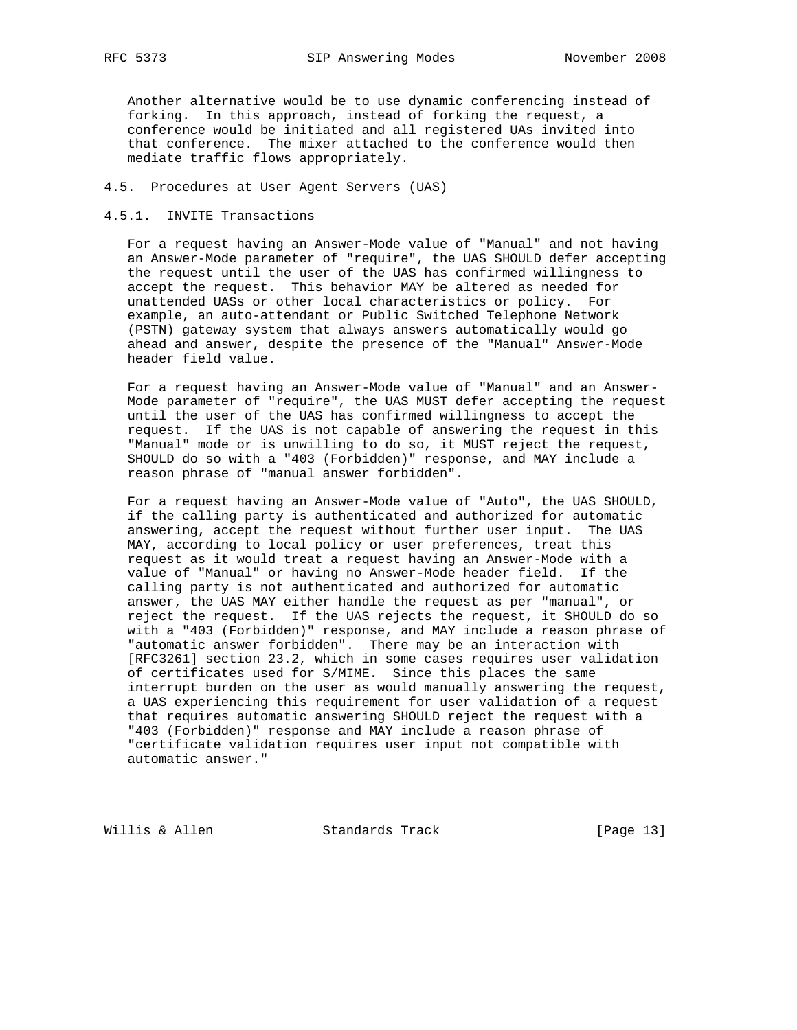Another alternative would be to use dynamic conferencing instead of forking. In this approach, instead of forking the request, a conference would be initiated and all registered UAs invited into that conference. The mixer attached to the conference would then mediate traffic flows appropriately.

# 4.5. Procedures at User Agent Servers (UAS)

# 4.5.1. INVITE Transactions

 For a request having an Answer-Mode value of "Manual" and not having an Answer-Mode parameter of "require", the UAS SHOULD defer accepting the request until the user of the UAS has confirmed willingness to accept the request. This behavior MAY be altered as needed for unattended UASs or other local characteristics or policy. For example, an auto-attendant or Public Switched Telephone Network (PSTN) gateway system that always answers automatically would go ahead and answer, despite the presence of the "Manual" Answer-Mode header field value.

 For a request having an Answer-Mode value of "Manual" and an Answer- Mode parameter of "require", the UAS MUST defer accepting the request until the user of the UAS has confirmed willingness to accept the request. If the UAS is not capable of answering the request in this "Manual" mode or is unwilling to do so, it MUST reject the request, SHOULD do so with a "403 (Forbidden)" response, and MAY include a reason phrase of "manual answer forbidden".

 For a request having an Answer-Mode value of "Auto", the UAS SHOULD, if the calling party is authenticated and authorized for automatic answering, accept the request without further user input. The UAS MAY, according to local policy or user preferences, treat this request as it would treat a request having an Answer-Mode with a value of "Manual" or having no Answer-Mode header field. If the calling party is not authenticated and authorized for automatic answer, the UAS MAY either handle the request as per "manual", or reject the request. If the UAS rejects the request, it SHOULD do so with a "403 (Forbidden)" response, and MAY include a reason phrase of "automatic answer forbidden". There may be an interaction with [RFC3261] section 23.2, which in some cases requires user validation of certificates used for S/MIME. Since this places the same interrupt burden on the user as would manually answering the request, a UAS experiencing this requirement for user validation of a request that requires automatic answering SHOULD reject the request with a "403 (Forbidden)" response and MAY include a reason phrase of "certificate validation requires user input not compatible with automatic answer."

Willis & Allen Standards Track [Page 13]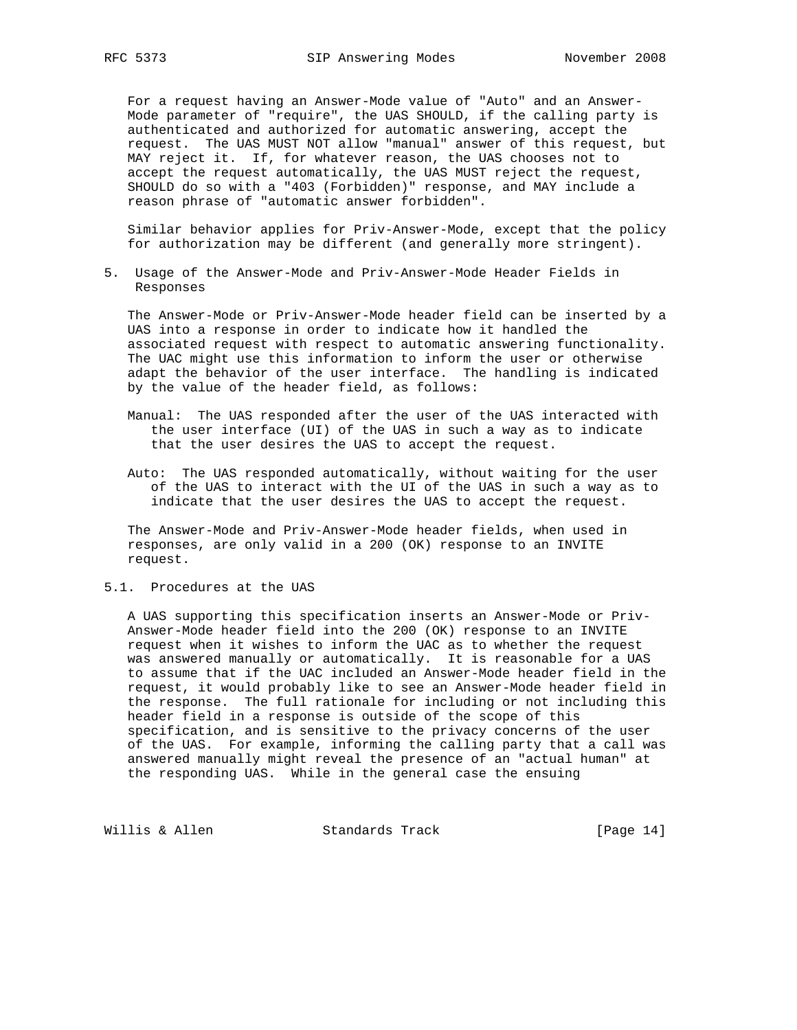For a request having an Answer-Mode value of "Auto" and an Answer- Mode parameter of "require", the UAS SHOULD, if the calling party is authenticated and authorized for automatic answering, accept the request. The UAS MUST NOT allow "manual" answer of this request, but MAY reject it. If, for whatever reason, the UAS chooses not to accept the request automatically, the UAS MUST reject the request, SHOULD do so with a "403 (Forbidden)" response, and MAY include a reason phrase of "automatic answer forbidden".

 Similar behavior applies for Priv-Answer-Mode, except that the policy for authorization may be different (and generally more stringent).

5. Usage of the Answer-Mode and Priv-Answer-Mode Header Fields in Responses

 The Answer-Mode or Priv-Answer-Mode header field can be inserted by a UAS into a response in order to indicate how it handled the associated request with respect to automatic answering functionality. The UAC might use this information to inform the user or otherwise adapt the behavior of the user interface. The handling is indicated by the value of the header field, as follows:

- Manual: The UAS responded after the user of the UAS interacted with the user interface (UI) of the UAS in such a way as to indicate that the user desires the UAS to accept the request.
- Auto: The UAS responded automatically, without waiting for the user of the UAS to interact with the UI of the UAS in such a way as to indicate that the user desires the UAS to accept the request.

 The Answer-Mode and Priv-Answer-Mode header fields, when used in responses, are only valid in a 200 (OK) response to an INVITE request.

5.1. Procedures at the UAS

 A UAS supporting this specification inserts an Answer-Mode or Priv- Answer-Mode header field into the 200 (OK) response to an INVITE request when it wishes to inform the UAC as to whether the request was answered manually or automatically. It is reasonable for a UAS to assume that if the UAC included an Answer-Mode header field in the request, it would probably like to see an Answer-Mode header field in the response. The full rationale for including or not including this header field in a response is outside of the scope of this specification, and is sensitive to the privacy concerns of the user of the UAS. For example, informing the calling party that a call was answered manually might reveal the presence of an "actual human" at the responding UAS. While in the general case the ensuing

Willis & Allen Standards Track [Page 14]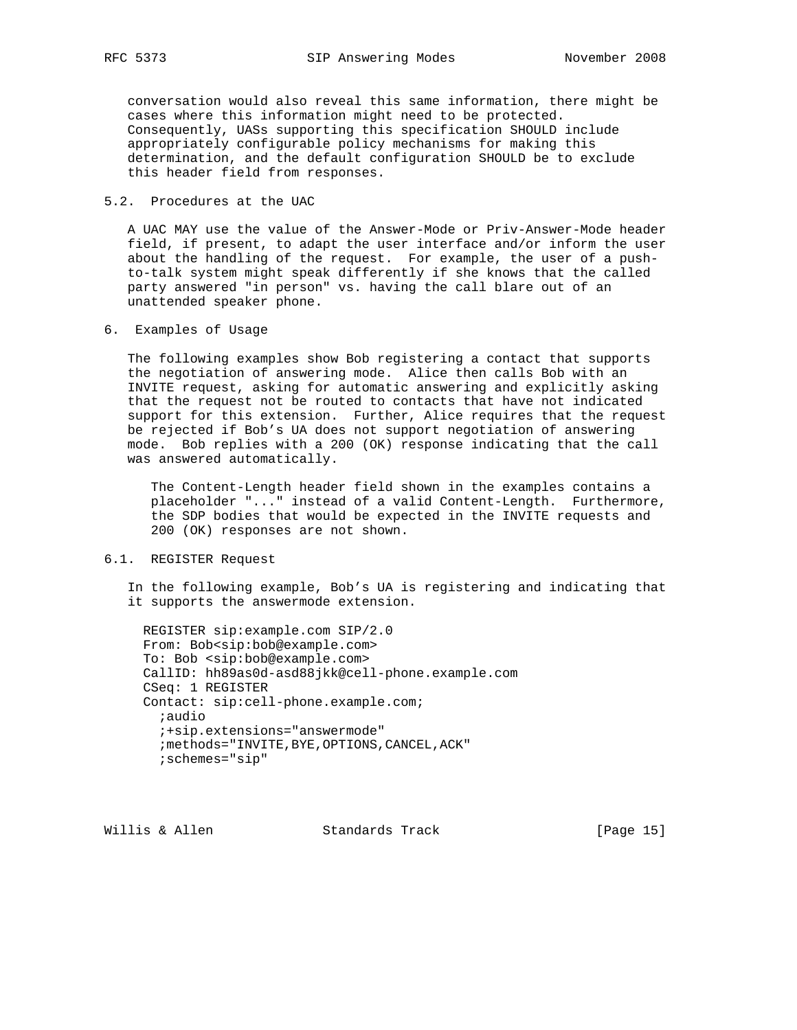conversation would also reveal this same information, there might be cases where this information might need to be protected. Consequently, UASs supporting this specification SHOULD include appropriately configurable policy mechanisms for making this determination, and the default configuration SHOULD be to exclude this header field from responses.

5.2. Procedures at the UAC

 A UAC MAY use the value of the Answer-Mode or Priv-Answer-Mode header field, if present, to adapt the user interface and/or inform the user about the handling of the request. For example, the user of a push to-talk system might speak differently if she knows that the called party answered "in person" vs. having the call blare out of an unattended speaker phone.

6. Examples of Usage

 The following examples show Bob registering a contact that supports the negotiation of answering mode. Alice then calls Bob with an INVITE request, asking for automatic answering and explicitly asking that the request not be routed to contacts that have not indicated support for this extension. Further, Alice requires that the request be rejected if Bob's UA does not support negotiation of answering mode. Bob replies with a 200 (OK) response indicating that the call was answered automatically.

 The Content-Length header field shown in the examples contains a placeholder "..." instead of a valid Content-Length. Furthermore, the SDP bodies that would be expected in the INVITE requests and 200 (OK) responses are not shown.

# 6.1. REGISTER Request

 In the following example, Bob's UA is registering and indicating that it supports the answermode extension.

 REGISTER sip:example.com SIP/2.0 From: Bob<sip:bob@example.com> To: Bob <sip:bob@example.com> CallID: hh89as0d-asd88jkk@cell-phone.example.com CSeq: 1 REGISTER Contact: sip:cell-phone.example.com; ;audio ;+sip.extensions="answermode" ;methods="INVITE,BYE,OPTIONS,CANCEL,ACK" ;schemes="sip"

Willis & Allen Standards Track [Page 15]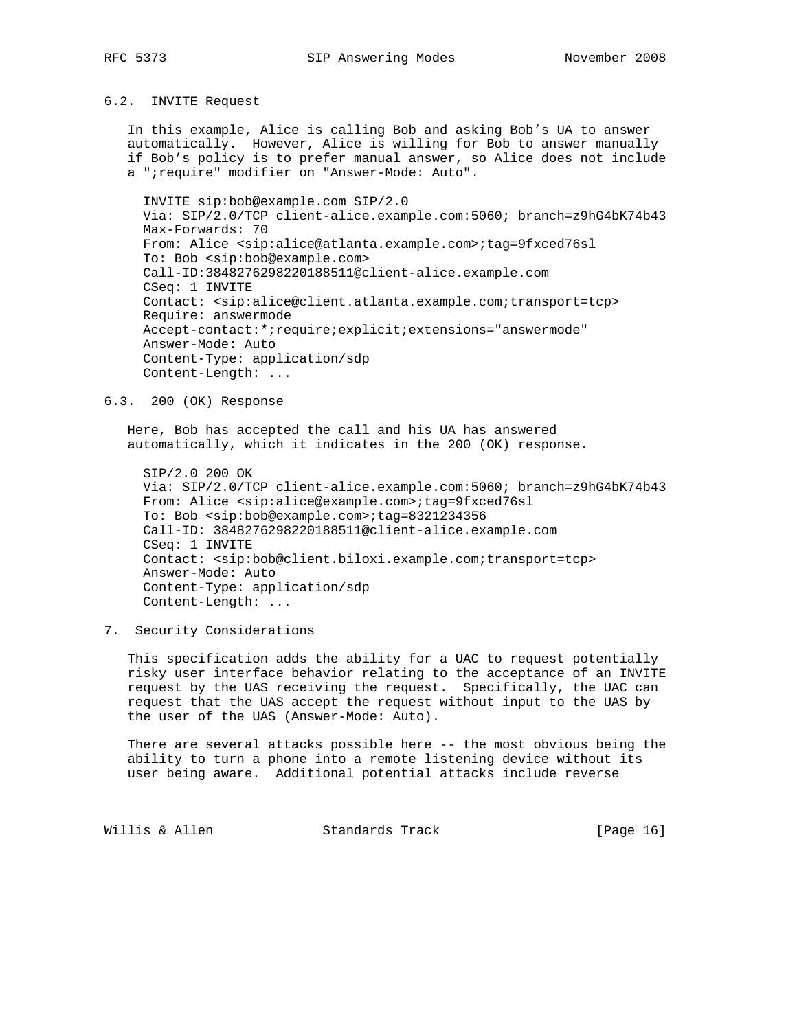# 6.2. INVITE Request

 In this example, Alice is calling Bob and asking Bob's UA to answer automatically. However, Alice is willing for Bob to answer manually if Bob's policy is to prefer manual answer, so Alice does not include a ";require" modifier on "Answer-Mode: Auto".

 INVITE sip:bob@example.com SIP/2.0 Via: SIP/2.0/TCP client-alice.example.com:5060; branch=z9hG4bK74b43 Max-Forwards: 70 From: Alice <sip:alice@atlanta.example.com>;tag=9fxced76sl To: Bob <sip:bob@example.com> Call-ID:3848276298220188511@client-alice.example.com CSeq: 1 INVITE Contact: <sip:alice@client.atlanta.example.com;transport=tcp> Require: answermode Accept-contact:\*;require;explicit;extensions="answermode" Answer-Mode: Auto Content-Type: application/sdp Content-Length: ...

# 6.3. 200 (OK) Response

 Here, Bob has accepted the call and his UA has answered automatically, which it indicates in the 200 (OK) response.

```
 SIP/2.0 200 OK
Via: SIP/2.0/TCP client-alice.example.com:5060; branch=z9hG4bK74b43
From: Alice <sip:alice@example.com>;tag=9fxced76sl
To: Bob <sip:bob@example.com>;tag=8321234356
Call-ID: 3848276298220188511@client-alice.example.com
CSeq: 1 INVITE
Contact: <sip:bob@client.biloxi.example.com;transport=tcp>
Answer-Mode: Auto
Content-Type: application/sdp
Content-Length: ...
```
7. Security Considerations

 This specification adds the ability for a UAC to request potentially risky user interface behavior relating to the acceptance of an INVITE request by the UAS receiving the request. Specifically, the UAC can request that the UAS accept the request without input to the UAS by the user of the UAS (Answer-Mode: Auto).

 There are several attacks possible here -- the most obvious being the ability to turn a phone into a remote listening device without its user being aware. Additional potential attacks include reverse

Willis & Allen Standards Track [Page 16]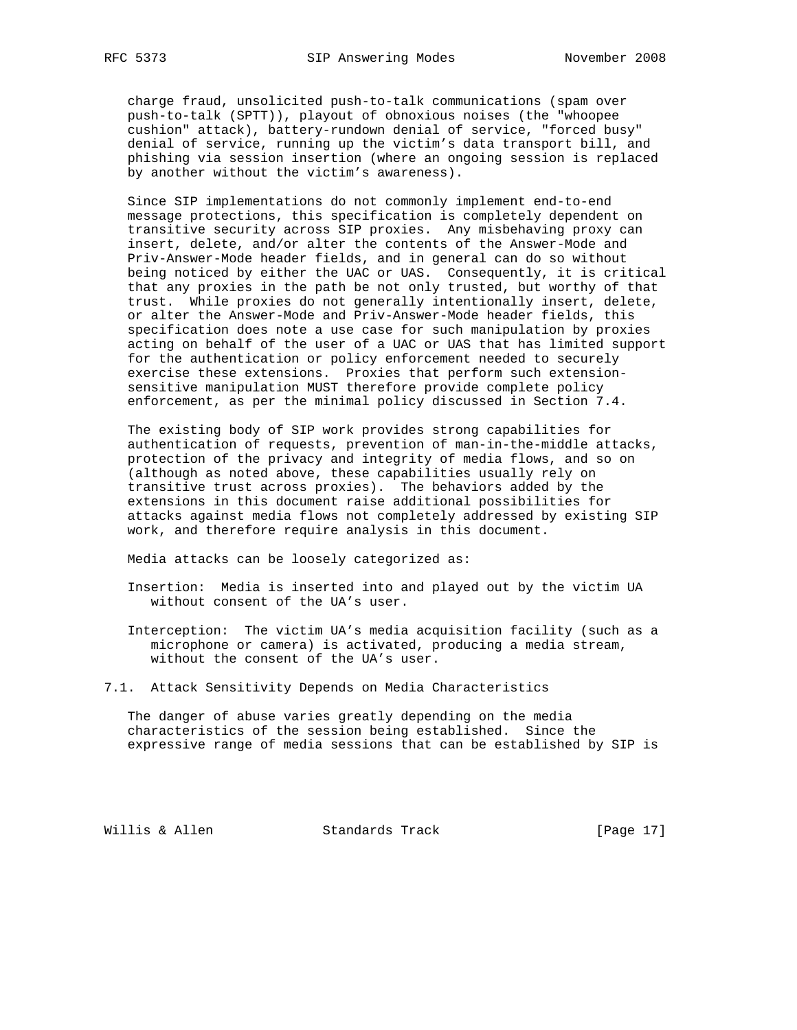charge fraud, unsolicited push-to-talk communications (spam over push-to-talk (SPTT)), playout of obnoxious noises (the "whoopee cushion" attack), battery-rundown denial of service, "forced busy" denial of service, running up the victim's data transport bill, and phishing via session insertion (where an ongoing session is replaced by another without the victim's awareness).

 Since SIP implementations do not commonly implement end-to-end message protections, this specification is completely dependent on transitive security across SIP proxies. Any misbehaving proxy can insert, delete, and/or alter the contents of the Answer-Mode and Priv-Answer-Mode header fields, and in general can do so without being noticed by either the UAC or UAS. Consequently, it is critical that any proxies in the path be not only trusted, but worthy of that trust. While proxies do not generally intentionally insert, delete, or alter the Answer-Mode and Priv-Answer-Mode header fields, this specification does note a use case for such manipulation by proxies acting on behalf of the user of a UAC or UAS that has limited support for the authentication or policy enforcement needed to securely exercise these extensions. Proxies that perform such extension sensitive manipulation MUST therefore provide complete policy enforcement, as per the minimal policy discussed in Section 7.4.

 The existing body of SIP work provides strong capabilities for authentication of requests, prevention of man-in-the-middle attacks, protection of the privacy and integrity of media flows, and so on (although as noted above, these capabilities usually rely on transitive trust across proxies). The behaviors added by the extensions in this document raise additional possibilities for attacks against media flows not completely addressed by existing SIP work, and therefore require analysis in this document.

Media attacks can be loosely categorized as:

- Insertion: Media is inserted into and played out by the victim UA without consent of the UA's user.
- Interception: The victim UA's media acquisition facility (such as a microphone or camera) is activated, producing a media stream, without the consent of the UA's user.
- 7.1. Attack Sensitivity Depends on Media Characteristics

 The danger of abuse varies greatly depending on the media characteristics of the session being established. Since the expressive range of media sessions that can be established by SIP is

Willis & Allen Standards Track [Page 17]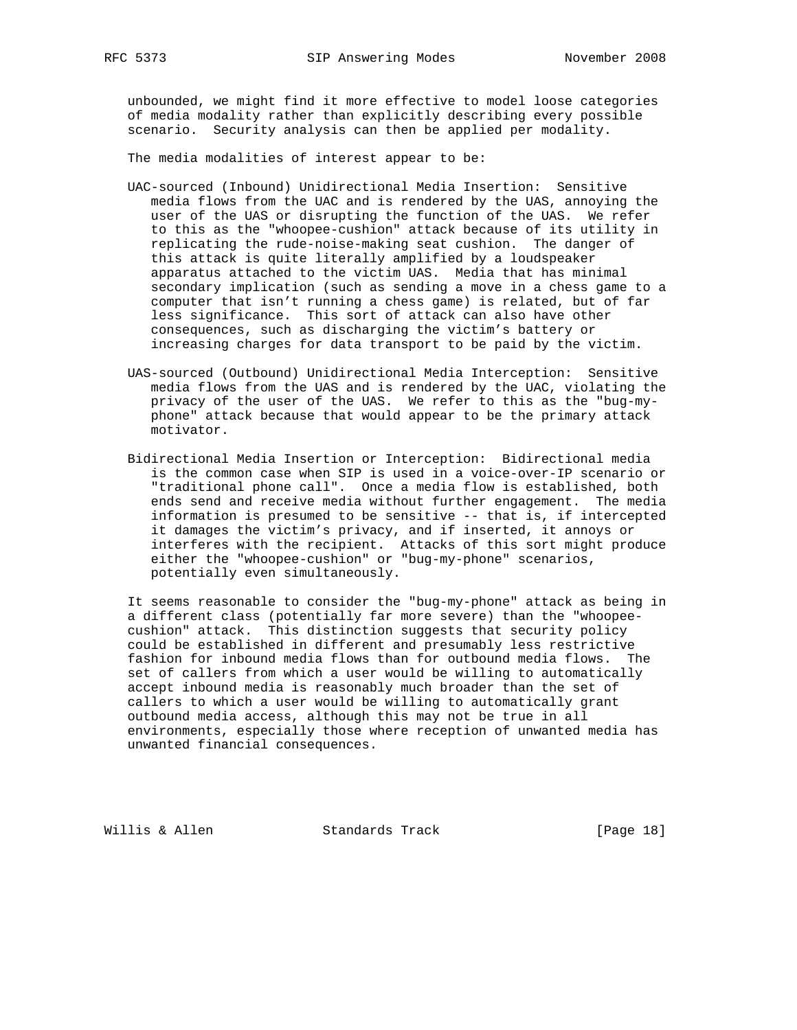unbounded, we might find it more effective to model loose categories of media modality rather than explicitly describing every possible scenario. Security analysis can then be applied per modality.

The media modalities of interest appear to be:

- UAC-sourced (Inbound) Unidirectional Media Insertion: Sensitive media flows from the UAC and is rendered by the UAS, annoying the user of the UAS or disrupting the function of the UAS. We refer to this as the "whoopee-cushion" attack because of its utility in replicating the rude-noise-making seat cushion. The danger of this attack is quite literally amplified by a loudspeaker apparatus attached to the victim UAS. Media that has minimal secondary implication (such as sending a move in a chess game to a computer that isn't running a chess game) is related, but of far less significance. This sort of attack can also have other consequences, such as discharging the victim's battery or increasing charges for data transport to be paid by the victim.
- UAS-sourced (Outbound) Unidirectional Media Interception: Sensitive media flows from the UAS and is rendered by the UAC, violating the privacy of the user of the UAS. We refer to this as the "bug-my phone" attack because that would appear to be the primary attack motivator.
- Bidirectional Media Insertion or Interception: Bidirectional media is the common case when SIP is used in a voice-over-IP scenario or "traditional phone call". Once a media flow is established, both ends send and receive media without further engagement. The media information is presumed to be sensitive -- that is, if intercepted it damages the victim's privacy, and if inserted, it annoys or interferes with the recipient. Attacks of this sort might produce either the "whoopee-cushion" or "bug-my-phone" scenarios, potentially even simultaneously.

 It seems reasonable to consider the "bug-my-phone" attack as being in a different class (potentially far more severe) than the "whoopee cushion" attack. This distinction suggests that security policy could be established in different and presumably less restrictive fashion for inbound media flows than for outbound media flows. The set of callers from which a user would be willing to automatically accept inbound media is reasonably much broader than the set of callers to which a user would be willing to automatically grant outbound media access, although this may not be true in all environments, especially those where reception of unwanted media has unwanted financial consequences.

Willis & Allen Standards Track [Page 18]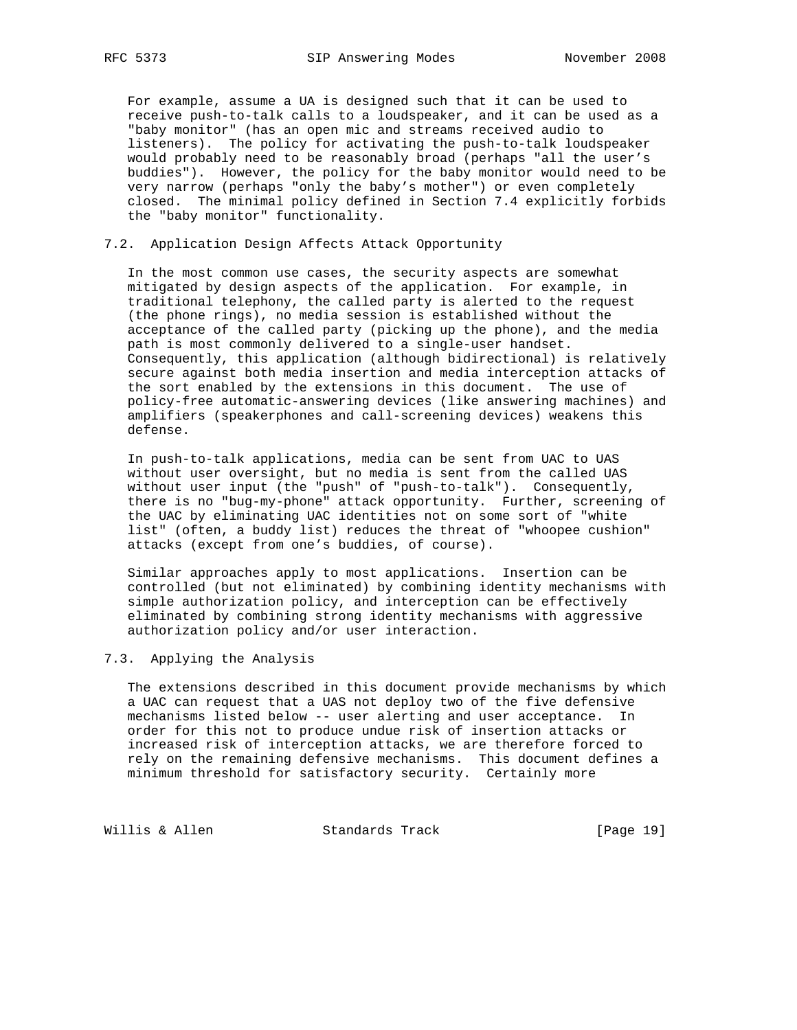For example, assume a UA is designed such that it can be used to receive push-to-talk calls to a loudspeaker, and it can be used as a "baby monitor" (has an open mic and streams received audio to listeners). The policy for activating the push-to-talk loudspeaker would probably need to be reasonably broad (perhaps "all the user's buddies"). However, the policy for the baby monitor would need to be very narrow (perhaps "only the baby's mother") or even completely closed. The minimal policy defined in Section 7.4 explicitly forbids the "baby monitor" functionality.

# 7.2. Application Design Affects Attack Opportunity

 In the most common use cases, the security aspects are somewhat mitigated by design aspects of the application. For example, in traditional telephony, the called party is alerted to the request (the phone rings), no media session is established without the acceptance of the called party (picking up the phone), and the media path is most commonly delivered to a single-user handset. Consequently, this application (although bidirectional) is relatively secure against both media insertion and media interception attacks of the sort enabled by the extensions in this document. The use of policy-free automatic-answering devices (like answering machines) and amplifiers (speakerphones and call-screening devices) weakens this defense.

 In push-to-talk applications, media can be sent from UAC to UAS without user oversight, but no media is sent from the called UAS without user input (the "push" of "push-to-talk"). Consequently, there is no "bug-my-phone" attack opportunity. Further, screening of the UAC by eliminating UAC identities not on some sort of "white list" (often, a buddy list) reduces the threat of "whoopee cushion" attacks (except from one's buddies, of course).

 Similar approaches apply to most applications. Insertion can be controlled (but not eliminated) by combining identity mechanisms with simple authorization policy, and interception can be effectively eliminated by combining strong identity mechanisms with aggressive authorization policy and/or user interaction.

# 7.3. Applying the Analysis

 The extensions described in this document provide mechanisms by which a UAC can request that a UAS not deploy two of the five defensive mechanisms listed below -- user alerting and user acceptance. In order for this not to produce undue risk of insertion attacks or increased risk of interception attacks, we are therefore forced to rely on the remaining defensive mechanisms. This document defines a minimum threshold for satisfactory security. Certainly more

Willis & Allen Standards Track [Page 19]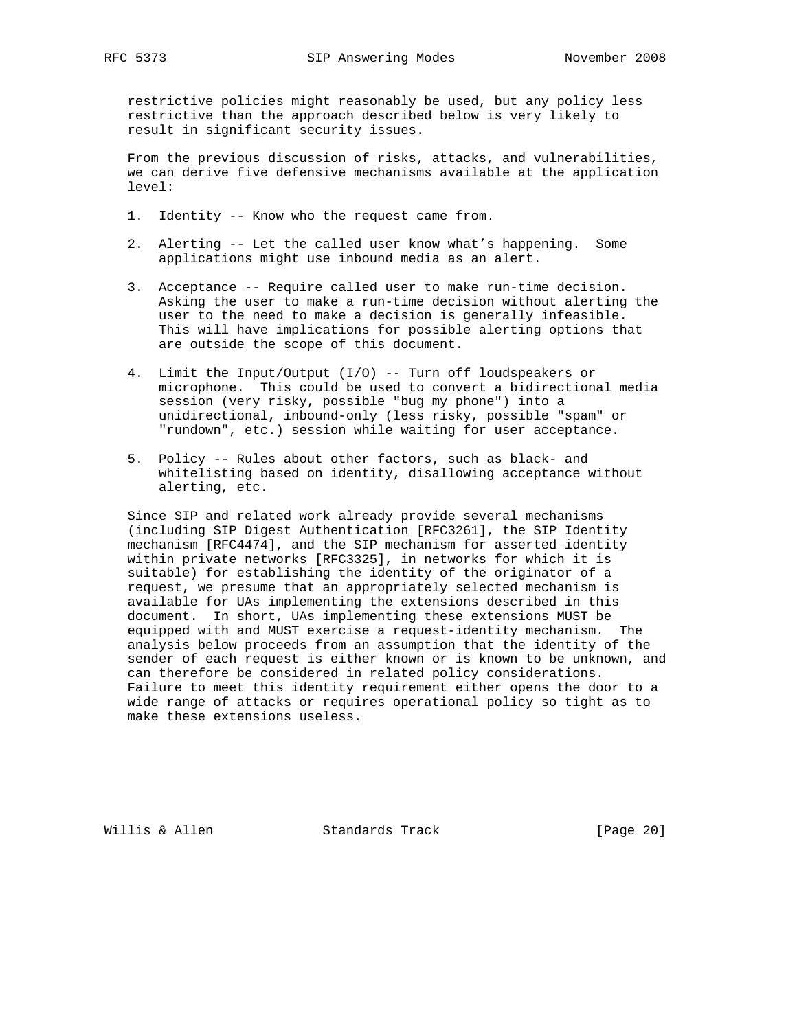restrictive policies might reasonably be used, but any policy less restrictive than the approach described below is very likely to result in significant security issues.

 From the previous discussion of risks, attacks, and vulnerabilities, we can derive five defensive mechanisms available at the application level:

- 1. Identity -- Know who the request came from.
- 2. Alerting -- Let the called user know what's happening. Some applications might use inbound media as an alert.
- 3. Acceptance -- Require called user to make run-time decision. Asking the user to make a run-time decision without alerting the user to the need to make a decision is generally infeasible. This will have implications for possible alerting options that are outside the scope of this document.
- 4. Limit the Input/Output (I/O) -- Turn off loudspeakers or microphone. This could be used to convert a bidirectional media session (very risky, possible "bug my phone") into a unidirectional, inbound-only (less risky, possible "spam" or "rundown", etc.) session while waiting for user acceptance.
- 5. Policy -- Rules about other factors, such as black- and whitelisting based on identity, disallowing acceptance without alerting, etc.

 Since SIP and related work already provide several mechanisms (including SIP Digest Authentication [RFC3261], the SIP Identity mechanism [RFC4474], and the SIP mechanism for asserted identity within private networks [RFC3325], in networks for which it is suitable) for establishing the identity of the originator of a request, we presume that an appropriately selected mechanism is available for UAs implementing the extensions described in this document. In short, UAs implementing these extensions MUST be equipped with and MUST exercise a request-identity mechanism. The analysis below proceeds from an assumption that the identity of the sender of each request is either known or is known to be unknown, and can therefore be considered in related policy considerations. Failure to meet this identity requirement either opens the door to a wide range of attacks or requires operational policy so tight as to make these extensions useless.

Willis & Allen Standards Track [Page 20]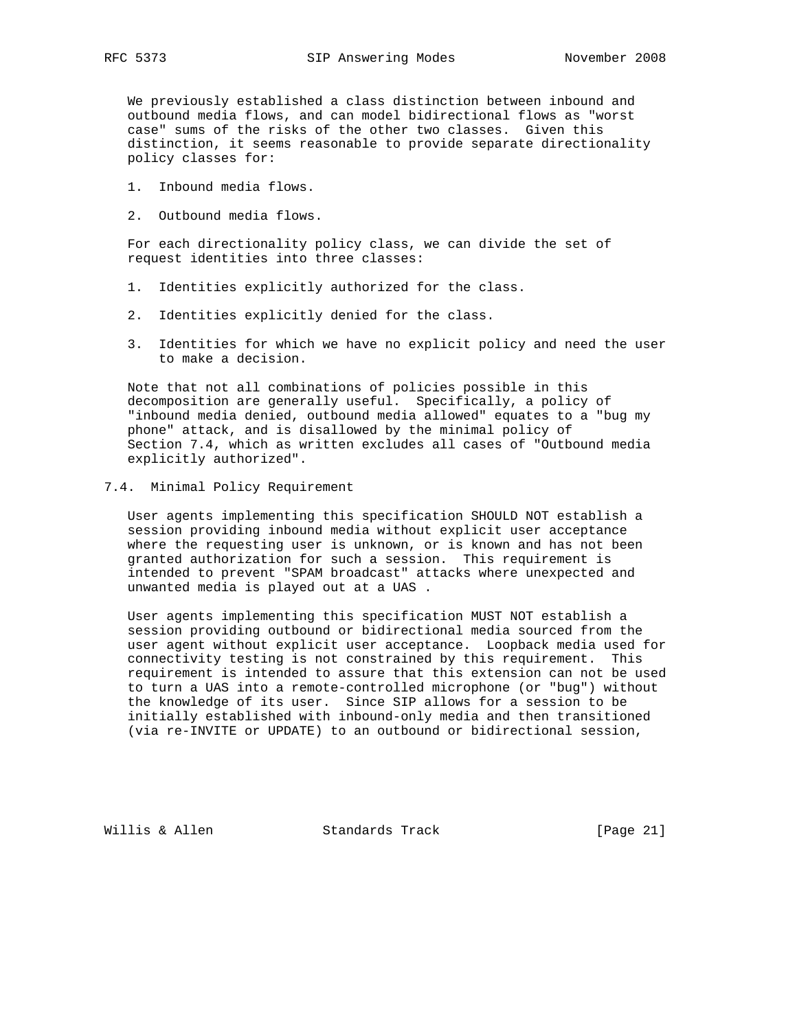We previously established a class distinction between inbound and outbound media flows, and can model bidirectional flows as "worst case" sums of the risks of the other two classes. Given this distinction, it seems reasonable to provide separate directionality policy classes for:

- 1. Inbound media flows.
- 2. Outbound media flows.

 For each directionality policy class, we can divide the set of request identities into three classes:

- 1. Identities explicitly authorized for the class.
- 2. Identities explicitly denied for the class.
- 3. Identities for which we have no explicit policy and need the user to make a decision.

 Note that not all combinations of policies possible in this decomposition are generally useful. Specifically, a policy of "inbound media denied, outbound media allowed" equates to a "bug my phone" attack, and is disallowed by the minimal policy of Section 7.4, which as written excludes all cases of "Outbound media explicitly authorized".

7.4. Minimal Policy Requirement

 User agents implementing this specification SHOULD NOT establish a session providing inbound media without explicit user acceptance where the requesting user is unknown, or is known and has not been granted authorization for such a session. This requirement is intended to prevent "SPAM broadcast" attacks where unexpected and unwanted media is played out at a UAS .

 User agents implementing this specification MUST NOT establish a session providing outbound or bidirectional media sourced from the user agent without explicit user acceptance. Loopback media used for connectivity testing is not constrained by this requirement. This requirement is intended to assure that this extension can not be used to turn a UAS into a remote-controlled microphone (or "bug") without the knowledge of its user. Since SIP allows for a session to be initially established with inbound-only media and then transitioned (via re-INVITE or UPDATE) to an outbound or bidirectional session,

Willis & Allen Standards Track [Page 21]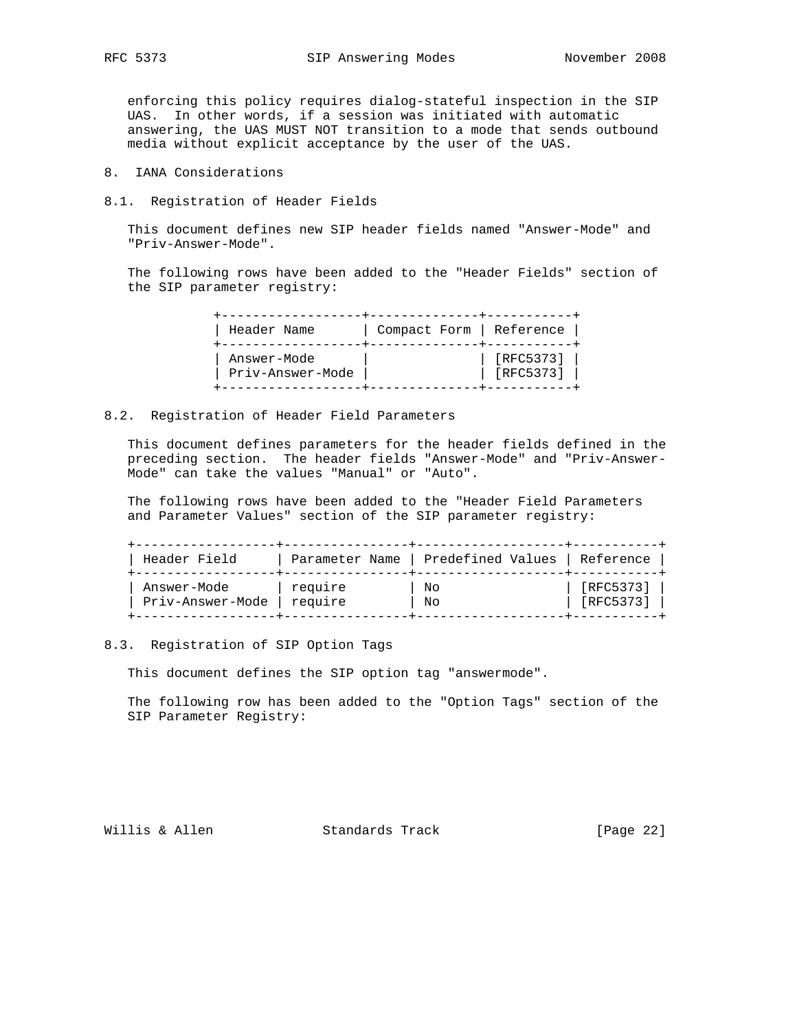enforcing this policy requires dialog-stateful inspection in the SIP UAS. In other words, if a session was initiated with automatic answering, the UAS MUST NOT transition to a mode that sends outbound media without explicit acceptance by the user of the UAS.

- 8. IANA Considerations
- 8.1. Registration of Header Fields

 This document defines new SIP header fields named "Answer-Mode" and "Priv-Answer-Mode".

 The following rows have been added to the "Header Fields" section of the SIP parameter registry:

| Header Name                     | Compact Form   Reference |                        |
|---------------------------------|--------------------------|------------------------|
| Answer-Mode<br>Priv-Answer-Mode |                          | [REC5373]<br>[REC5373] |

#### 8.2. Registration of Header Field Parameters

 This document defines parameters for the header fields defined in the preceding section. The header fields "Answer-Mode" and "Priv-Answer- Mode" can take the values "Manual" or "Auto".

 The following rows have been added to the "Header Field Parameters and Parameter Values" section of the SIP parameter registry:

| Header Field     |         | Parameter Name   Predefined Values   Reference |           |
|------------------|---------|------------------------------------------------|-----------|
| Answer-Mode      | require | No                                             | [RFC5373] |
| Priv-Answer-Mode | require | Nο                                             | [RFC5373] |

#### 8.3. Registration of SIP Option Tags

This document defines the SIP option tag "answermode".

 The following row has been added to the "Option Tags" section of the SIP Parameter Registry:

Willis & Allen Standards Track [Page 22]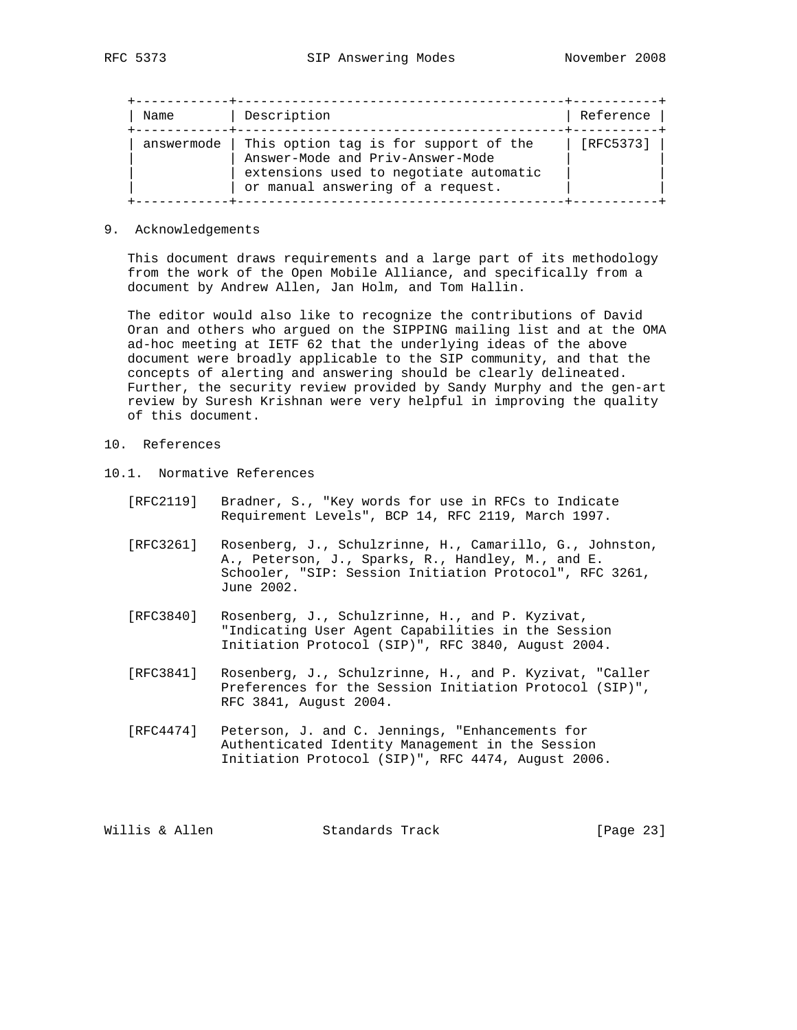| Name       | Description                                                                                                                                              | Reference |
|------------|----------------------------------------------------------------------------------------------------------------------------------------------------------|-----------|
| answermode | This option tag is for support of the<br>Answer-Mode and Priv-Answer-Mode<br>extensions used to negotiate automatic<br>or manual answering of a request. | [RFC5373] |

#### 9. Acknowledgements

 This document draws requirements and a large part of its methodology from the work of the Open Mobile Alliance, and specifically from a document by Andrew Allen, Jan Holm, and Tom Hallin.

 The editor would also like to recognize the contributions of David Oran and others who argued on the SIPPING mailing list and at the OMA ad-hoc meeting at IETF 62 that the underlying ideas of the above document were broadly applicable to the SIP community, and that the concepts of alerting and answering should be clearly delineated. Further, the security review provided by Sandy Murphy and the gen-art review by Suresh Krishnan were very helpful in improving the quality of this document.

# 10. References

- 10.1. Normative References
	- [RFC2119] Bradner, S., "Key words for use in RFCs to Indicate Requirement Levels", BCP 14, RFC 2119, March 1997.
	- [RFC3261] Rosenberg, J., Schulzrinne, H., Camarillo, G., Johnston, A., Peterson, J., Sparks, R., Handley, M., and E. Schooler, "SIP: Session Initiation Protocol", RFC 3261, June 2002.
	- [RFC3840] Rosenberg, J., Schulzrinne, H., and P. Kyzivat, "Indicating User Agent Capabilities in the Session Initiation Protocol (SIP)", RFC 3840, August 2004.
	- [RFC3841] Rosenberg, J., Schulzrinne, H., and P. Kyzivat, "Caller Preferences for the Session Initiation Protocol (SIP)", RFC 3841, August 2004.
	- [RFC4474] Peterson, J. and C. Jennings, "Enhancements for Authenticated Identity Management in the Session Initiation Protocol (SIP)", RFC 4474, August 2006.

Willis & Allen Standards Track [Page 23]